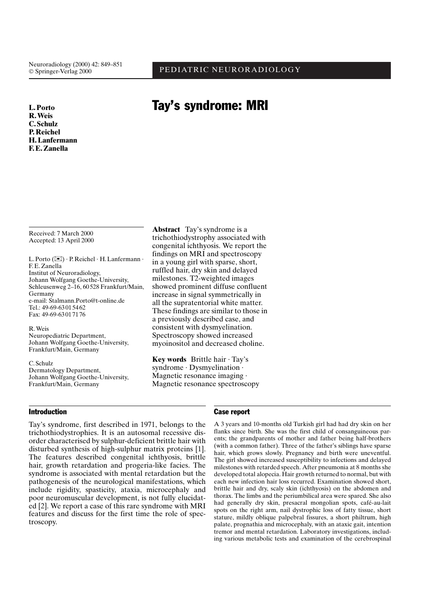## PEDIATRIC NEURORADIOLOGY

# **Tay's syndrome: MRI**

L. Porto R. Weis C. Schulz **P. Reichel H. Lanfermann F.E. Zanella** 

Received: 7 March 2000 Accepted: 13 April 2000

L. Porto (X) · P. Reichel · H. Lanfermann · F.E.Zanella Institut of Neuroradiology, Johann Wolfgang Goethe-University, Schleusenweg 2-16, 60528 Frankfurt/Main, Germany e-mail: Stalmann.Porto@t-online.de Tel.: 49-69-63015462 Fax: 49-69-63017176

R. Weis Neuropediatric Department, Johann Wolfgang Goethe-University, Frankfurt/Main, Germany

C. Schulz Dermatology Department, Johann Wolfgang Goethe-University, Frankfurt/Main, Germany

**Abstract** Tay's syndrome is a trichothiodystrophy associated with congenital ichthyosis. We report the findings on MRI and spectroscopy in a young girl with sparse, short, ruffled hair, dry skin and delayed milestones. T2-weighted images showed prominent diffuse confluent increase in signal symmetrically in all the supratentorial white matter. These findings are similar to those in a previously described case, and consistent with dysmyelination. Spectroscopy showed increased myoinositol and decreased choline.

Key words Brittle hair · Tay's syndrome · Dysmyelination · Magnetic resonance imaging  $\cdot$ Magnetic resonance spectroscopy

### **Introduction**

Tay's syndrome, first described in 1971, belongs to the trichothiodystrophies. It is an autosomal recessive disorder characterised by sulphur-deficient brittle hair with disturbed synthesis of high-sulphur matrix proteins [1]. The features described congenital ichthyosis, brittle hair, growth retardation and progeria-like facies. The syndrome is associated with mental retardation but the pathogenesis of the neurological manifestations, which include rigidity, spasticity, ataxia, microcephaly and poor neuromuscular development, is not fully elucidated [2]. We report a case of this rare syndrome with MRI features and discuss for the first time the role of spectroscopy.

#### **Case report**

A 3 years and 10-months old Turkish girl had had dry skin on her flanks since birth. She was the first child of consanguineous parents; the grandparents of mother and father being half-brothers (with a common father). Three of the father's siblings have sparse hair, which grows slowly. Pregnancy and birth were uneventful. The girl showed increased susceptibility to infections and delayed milestones with retarded speech. After pneumonia at 8 months she developed total alopecia. Hair growth returned to normal, but with each new infection hair loss recurred. Examination showed short, brittle hair and dry, scaly skin (ichthyosis) on the abdomen and thorax. The limbs and the periumbilical area were spared. She also had generally dry skin, presacral mongolian spots, café-au-lait spots on the right arm, nail dystrophic loss of fatty tissue, short stature, mildly oblique palpebral fissures, a short philtrum, high palate, prognathia and microcephaly, with an ataxic gait, intention tremor and mental retardation. Laboratory investigations, including various metabolic tests and examination of the cerebrospinal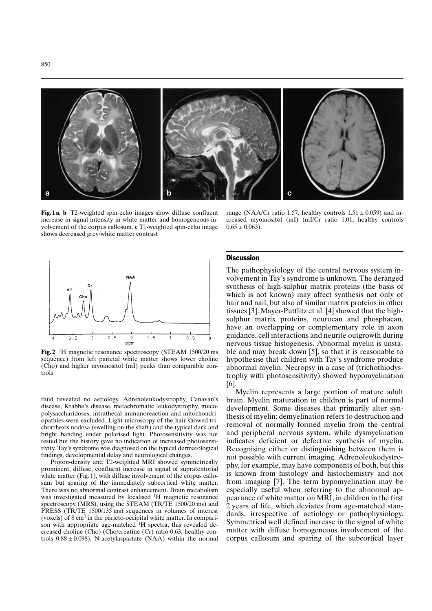

Fig.1a, b T2-weighted spin-echo images show diffuse confluent increase in signal intensity in white matter and homogeneous involvement of the corpus callosum. c T1-weighted spin-echo image shows decreased grey/white matter contrast



**Fig. 2** <sup>1</sup>H magnetic resonance spectroscopy (STEAM 1500/20 ms) sequence) from left parietal white matter shows lower choline (Cho) and higher myoinositol (mI) peaks than comparable controls

fluid revealed no aetiology. Adrenoleukodystrophy, Canavan's disease, Krabbe's disease, metachromatic leukodystrophy, mucopolysaccharidoses, intrathecal immunoreaction and mitochondriopathies were excluded. Light microscopy of the hair showed trichorrhexis nodosa (swelling on the shaft) and the typical dark and bright banding under polarised light. Photosensitivity was not tested but the history gave no indication of increased photosensitivity. Tay's syndrome was diagnosed on the typical dermatological findings, developmental delay and neurological changes.

Proton-density and T2-weighted MRI showed symmetrically prominent, diffuse, confluent increase in signal of supratentorial white matter (Fig. 1), with diffuse involvement of the corpus callosum but sparing of the immediately subcortical white matter. There was no abnormal contrast enhancement. Brain metabolism was investigated measured by localised <sup>1</sup>H magnetic resonance spectroscopy (MRS), using the STEAM (TR/TE 1500/20 ms) and PRESS (TR/TE 1500/135 ms) sequences in volumes of interest (voxels) of  $8 \text{ cm}^3$  in the parieto-occipital white matter. In comparison with appropriate age-matched <sup>1</sup>H spectra, this revealed decreased choline (Cho) (Cho/creatine (Cr) ratio 0.63, healthy controls  $0.88 \pm 0.098$ ), N-acetylaspartate (NAA) within the normal

range (NAA/Cr ratio 1.57, healthy controls  $1.51 \pm 0.059$ ) and increased myoinositol (mI) (mI/Cr ratio 1.01; healthy controls  $0.65 \pm 0.063$ ).

#### **Discussion**

The pathophysiology of the central nervous system involvement in Tay's syndrome is unknown. The deranged synthesis of high-sulphur matrix proteins (the basis of which is not known) may affect synthesis not only of hair and nail, but also of similar matrix proteins in other tissues [3]. Mayer-Puttlitz et al. [4] showed that the highsulphur matrix proteins, neurocan and phosphacan, have an overlapping or complementary role in axon guidance, cell interactions and neurite outgrowth during nervous tissue histogenesis. Abnormal myelin is unstable and may break down [5], so that it is reasonable to hypothesise that children with Tay's syndrome produce abnormal myelin. Necropsy in a case of (trichothiodystrophy with photosensitivity) showed hypomyelination  $[6]$ 

Myelin represents a large portion of mature adult brain. Myelin maturation in children is part of normal development. Some diseases that primarily alter synthesis of myelin: demyelination refers to destruction and removal of normally formed myelin from the central and peripheral nervous system, while dysmyelination indicates deficient or defective synthesis of myelin. Recognising either or distinguishing between them is not possible with current imaging. Adrenoleukodystrophy, for example, may have components of both, but this is known from histology and histochemistry and not from imaging [7]. The term hypomyelination may be especially useful when referring to the abnormal appearance of white matter on MRI, in children in the first 2 years of life, which deviates from age-matched standards, irrespective of aetiology or pathophysiology. Symmetrical well defined increase in the signal of white matter with diffuse homogeneous involvement of the corpus callosum and sparing of the subcortical layer